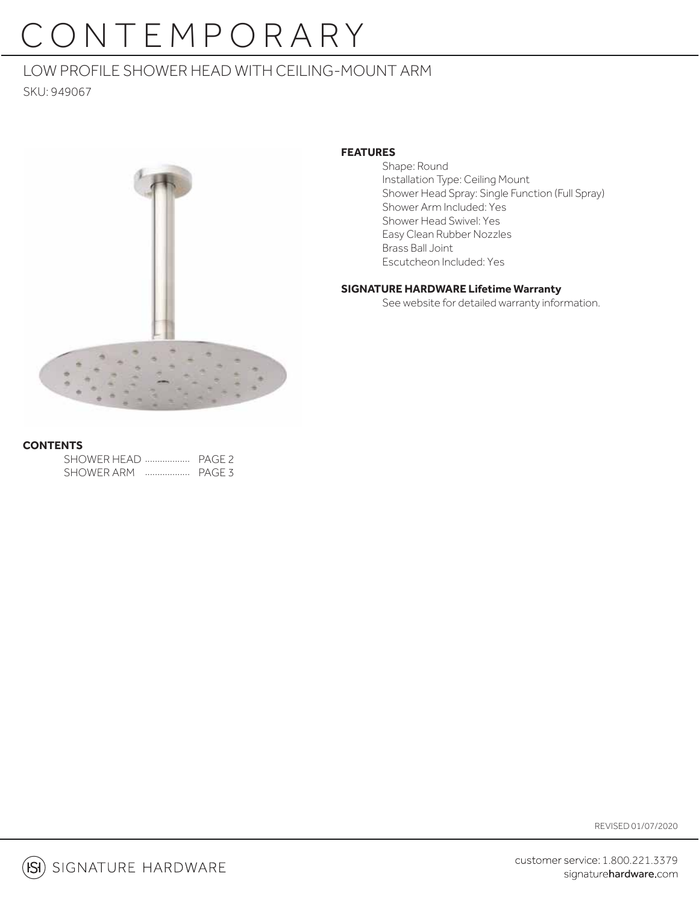# CONTEMPORARY

## LOW PROFILE SHOWER HEAD WITH CEILING-MOUNT ARM

SKU: 949067



#### **FEATURES**

 Shape: Round Installation Type: Ceiling Mount Shower Head Spray: Single Function (Full Spray) Shower Arm Included: Yes Shower Head Swivel: Yes Easy Clean Rubber Nozzles Brass Ball Joint Escutcheon Included: Yes

### **SIGNATURE HARDWARE Lifetime Warranty**

See website for detailed warranty information.

#### **CONTENTS**

| SHOWER HEAD  PAGE 2 |   |        |
|---------------------|---|--------|
| SHOWER ARM          | . | PAGE 3 |

REVISED 01/07/2020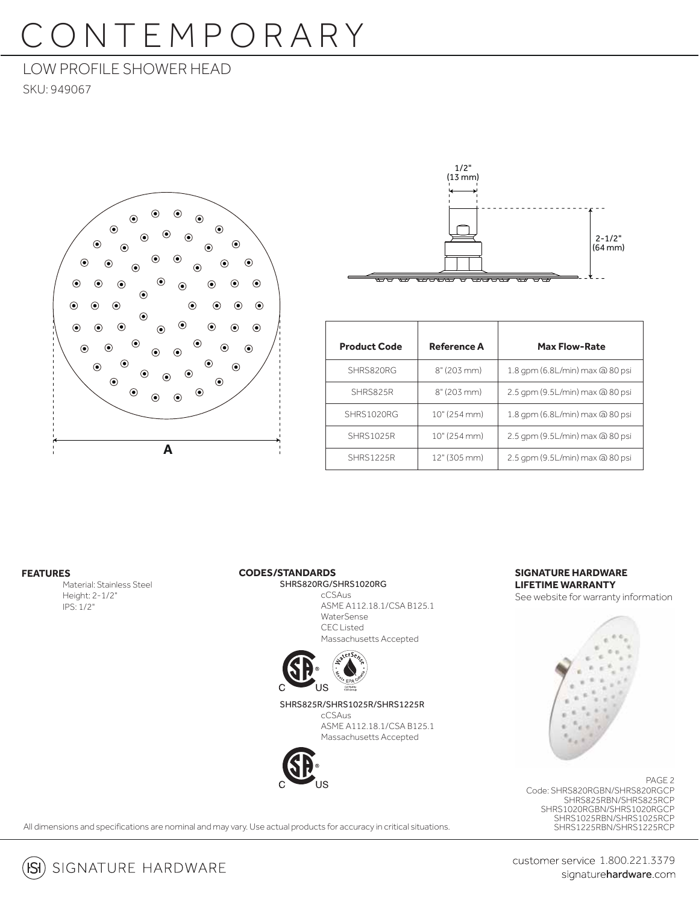# CONTEMPORARY

### LOW PROFILE SHOWER HEAD

SKU: 949067





| <b>Product Code</b> | <b>Reference A</b> | <b>Max Flow-Rate</b>            |
|---------------------|--------------------|---------------------------------|
| SHRS820RG           | 8" (203 mm)        | 1.8 gpm (6.8L/min) max @ 80 psi |
| SHRS825R            | 8" (203 mm)        | 2.5 gpm (9.5L/min) max @ 80 psi |
| SHRS1020RG          | 10" (254 mm)       | 1.8 gpm (6.8L/min) max @ 80 psi |
| <b>SHRS1025R</b>    | 10" (254 mm)       | 2.5 gpm (9.5L/min) max @ 80 psi |
| <b>SHRS1225R</b>    | 12" (305 mm)       | 2.5 gpm (9.5L/min) max @ 80 psi |

#### **FEATURES**

Material: Stainless Steel Height: 2-1/2" IPS: 1/2"

#### **CODES/STANDARDS**

 SHRS820RG/SHRS1020RG cCSAus

 ASME A112.18.1/CSA B125.1 WaterSense CEC Listed Massachusetts Accepted



 SHRS825R/SHRS1025R/SHRS1225R cCSAus

 ASME A112.18.1/CSA B125.1 Massachusetts Accepted



#### **SIGNATURE HARDWARE LIFETIME WARRANTY**

See website for warranty information



Code: SHRS820RGBN/SHRS820RGCP SHRS825RBN/SHRS825RCP SHRS1020RGBN/SHRS1020RGCP SHRS1025RBN/SHRS1025RCP SHRS1225RBN/SHRS1225RCP PAGE 2

All dimensions and specifications are nominal and may vary. Use actual products for accuracy in critical situations.

 $(S)$  signature hardware